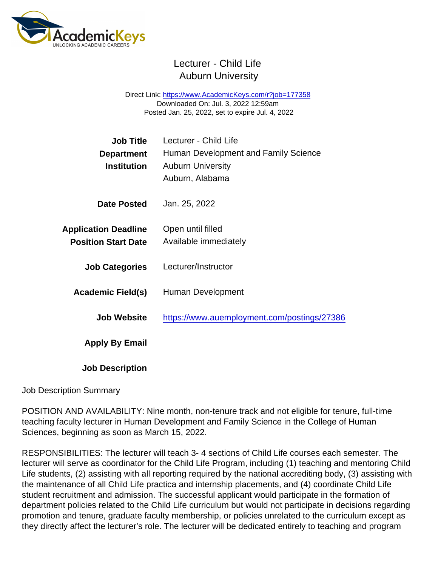## Lecturer - Child Life Auburn University

Direct Link: <https://www.AcademicKeys.com/r?job=177358> Downloaded On: Jul. 3, 2022 12:59am Posted Jan. 25, 2022, set to expire Jul. 4, 2022

| Job Title                   | Lecturer - Child Life                       |
|-----------------------------|---------------------------------------------|
| Department                  | Human Development and Family Science        |
| Institution                 | <b>Auburn University</b>                    |
|                             | Auburn, Alabama                             |
| Date Posted                 | Jan. 25, 2022                               |
| <b>Application Deadline</b> | Open until filled                           |
| <b>Position Start Date</b>  | Available immediately                       |
| <b>Job Categories</b>       | Lecturer/Instructor                         |
| Academic Field(s)           | Human Development                           |
| <b>Job Website</b>          | https://www.auemployment.com/postings/27386 |
| Apply By Email              |                                             |
| <b>Job Description</b>      |                                             |

#### Job Description Summary

POSITION AND AVAILABILITY: Nine month, non-tenure track and not eligible for tenure, full-time teaching faculty lecturer in Human Development and Family Science in the College of Human Sciences, beginning as soon as March 15, 2022.

RESPONSIBILITIES: The lecturer will teach 3- 4 sections of Child Life courses each semester. The lecturer will serve as coordinator for the Child Life Program, including (1) teaching and mentoring Child Life students, (2) assisting with all reporting required by the national accrediting body, (3) assisting with the maintenance of all Child Life practica and internship placements, and (4) coordinate Child Life student recruitment and admission. The successful applicant would participate in the formation of department policies related to the Child Life curriculum but would not participate in decisions regarding promotion and tenure, graduate faculty membership, or policies unrelated to the curriculum except as they directly affect the lecturer's role. The lecturer will be dedicated entirely to teaching and program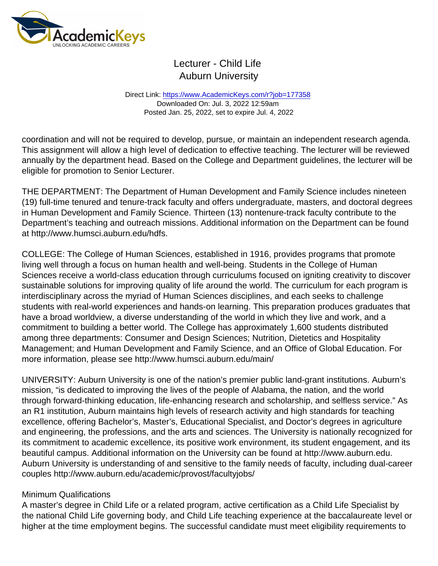## Lecturer - Child Life Auburn University

Direct Link: <https://www.AcademicKeys.com/r?job=177358> Downloaded On: Jul. 3, 2022 12:59am Posted Jan. 25, 2022, set to expire Jul. 4, 2022

coordination and will not be required to develop, pursue, or maintain an independent research agenda. This assignment will allow a high level of dedication to effective teaching. The lecturer will be reviewed annually by the department head. Based on the College and Department guidelines, the lecturer will be eligible for promotion to Senior Lecturer.

THE DEPARTMENT: The Department of Human Development and Family Science includes nineteen (19) full-time tenured and tenure-track faculty and offers undergraduate, masters, and doctoral degrees in Human Development and Family Science. Thirteen (13) nontenure-track faculty contribute to the Department's teaching and outreach missions. Additional information on the Department can be found at http://www.humsci.auburn.edu/hdfs.

COLLEGE: The College of Human Sciences, established in 1916, provides programs that promote living well through a focus on human health and well-being. Students in the College of Human Sciences receive a world-class education through curriculums focused on igniting creativity to discover sustainable solutions for improving quality of life around the world. The curriculum for each program is interdisciplinary across the myriad of Human Sciences disciplines, and each seeks to challenge students with real-world experiences and hands-on learning. This preparation produces graduates that have a broad worldview, a diverse understanding of the world in which they live and work, and a commitment to building a better world. The College has approximately 1,600 students distributed among three departments: Consumer and Design Sciences; Nutrition, Dietetics and Hospitality Management; and Human Development and Family Science, and an Office of Global Education. For more information, please see http://www.humsci.auburn.edu/main/

UNIVERSITY: Auburn University is one of the nation's premier public land-grant institutions. Auburn's mission, "is dedicated to improving the lives of the people of Alabama, the nation, and the world through forward-thinking education, life-enhancing research and scholarship, and selfless service." As an R1 institution, Auburn maintains high levels of research activity and high standards for teaching excellence, offering Bachelor's, Master's, Educational Specialist, and Doctor's degrees in agriculture and engineering, the professions, and the arts and sciences. The University is nationally recognized for its commitment to academic excellence, its positive work environment, its student engagement, and its beautiful campus. Additional information on the University can be found at http://www.auburn.edu. Auburn University is understanding of and sensitive to the family needs of faculty, including dual-career couples http://www.auburn.edu/academic/provost/facultyjobs/

#### Minimum Qualifications

A master's degree in Child Life or a related program, active certification as a Child Life Specialist by the national Child Life governing body, and Child Life teaching experience at the baccalaureate level or higher at the time employment begins. The successful candidate must meet eligibility requirements to